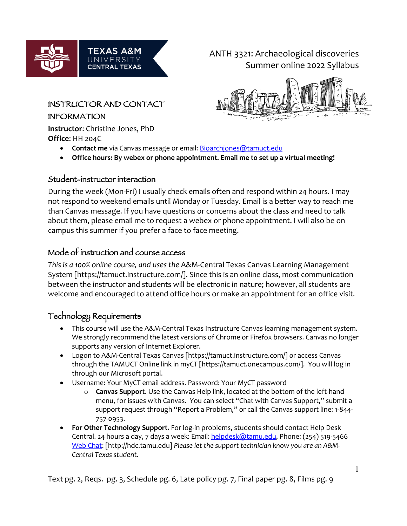

ANTH 3321: Archaeological discoveries Summer online 2022 Syllabus



### INSTRUCTOR AND CONTACT

### INFORMATION

**Instructor**: Christine Jones, PhD **Office**: HH 204C

- **Contact me** via Canvas message or email: **Bioarchjones@tamuct.edu**
- **Office hours: By webex or phone appointment. Email me to set up a virtual meeting!**

## Student-instructor interaction

During the week (Mon-Fri) I usually check emails often and respond within 24 hours. I may not respond to weekend emails until Monday or Tuesday. Email is a better way to reach me than Canvas message. If you have questions or concerns about the class and need to talk about them, please email me to request a webex or phone appointment. I will also be on campus this summer if you prefer a face to face meeting.

# Mode of instruction and course access

*This is a 100% online course, and uses the* A&M-Central Texas Canvas Learning Management System [https://tamuct.instructure.com/]. Since this is an online class, most communication between the instructor and students will be electronic in nature; however, all students are welcome and encouraged to attend office hours or make an appointment for an office visit.

# Technology Requirements

- This course will use the A&M-Central Texas Instructure Canvas learning management system. We strongly recommend the latest versions of Chrome or Firefox browsers. Canvas no longer supports any version of Internet Explorer.
- Logon to A&M-Central Texas Canvas [https://tamuct.instructure.com/] or access Canvas through the TAMUCT Online link in myCT [https://tamuct.onecampus.com/]. You will log in through our Microsoft portal.
- Username: Your MyCT email address. Password: Your MyCT password
	- o **Canvas Support**. Use the Canvas Help link, located at the bottom of the left-hand menu, for issues with Canvas. You can select "Chat with Canvas Support," submit a support request through "Report a Problem," or call the Canvas support line: 1-844-757-0953.
- **For Other Technology Support.** For log-in problems, students should contact Help Desk Central. 24 hours a day, 7 days a week: Email: helpdesk@tamu.edu, Phone: (254) 519-5466 Web Chat: [http://hdc.tamu.edu] *Please let the support technician know you are an A&M-Central Texas student.*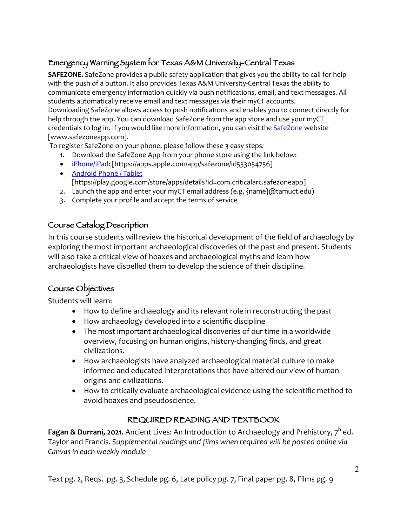# Emergency Warning System for Texas A&M University-Central Texas

**SAFEZONE.** SafeZone provides a public safety application that gives you the ability to call for help with the push of a button. It also provides Texas A&M University-Central Texas the ability to communicate emergency information quickly via push notifications, email, and text messages. All students automatically receive email and text messages via their myCT accounts. Downloading SafeZone allows access to push notifications and enables you to connect directly for help through the app. You can download SafeZone from the app store and use your myCT credentials to log in. If you would like more information, you can visit the **SafeZone** website [www.safezoneapp.com].

To register SafeZone on your phone, please follow these 3 easy steps*:*

- 1. Download the SafeZone App from your phone store using the link below:
- iPhone/iPad: [https://apps.apple.com/app/safezone/id533054756]
- Android Phone / Tablet [https://play.google.com/store/apps/details?id=com.criticalarc.safezoneapp]
- 2. Launch the app and enter your myCT email address (e.g. {name}@tamuct.edu)
- 3. Complete your profile and accept the terms of service

# Course Catalog Description

In this course students will review the historical development of the field of archaeology by exploring the most important archaeological discoveries of the past and present. Students will also take a critical view of hoaxes and archaeological myths and learn how archaeologists have dispelled them to develop the science of their discipline.

# Course Objectives

Students will learn:

- How to define archaeology and its relevant role in reconstructing the past
- How archaeology developed into a scientific discipline
- The most important archaeological discoveries of our time in a worldwide overview, focusing on human origins, history-changing finds, and great civilizations.
- How archaeologists have analyzed archaeological material culture to make informed and educated interpretations that have altered our view of human origins and civilizations.
- How to critically evaluate archaeological evidence using the scientific method to avoid hoaxes and pseudoscience.

# REQUIRED READING AND TEXTBOOK

**Fagan & Durrani, 2021.** Ancient Lives: An Introduction to Archaeology and Prehistory, 7<sup>h</sup> ed. Taylor and Francis. *Supplemental readings and films when required will be posted online via Canvas in each weekly module*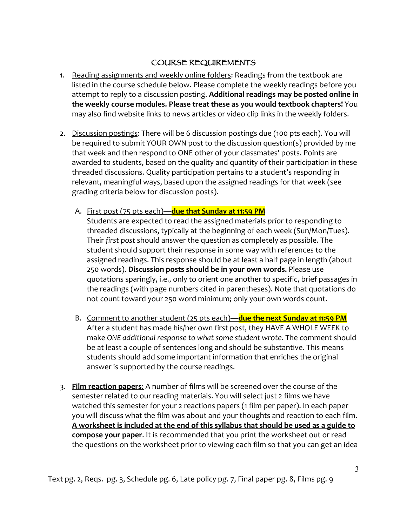## COURSE REQUIREMENTS

- 1. Reading assignments and weekly online folders: Readings from the textbook are listed in the course schedule below. Please complete the weekly readings before you attempt to reply to a discussion posting. **Additional readings may be posted online in the weekly course modules. Please treat these as you would textbook chapters!** You may also find website links to news articles or video clip links in the weekly folders.
- 2. Discussion postings: There will be 6 discussion postings due (100 pts each). You will be required to submit YOUR OWN post to the discussion question(s) provided by me that week and then respond to ONE other of your classmates' posts. Points are awarded to students, based on the quality and quantity of their participation in these threaded discussions. Quality participation pertains to a student's responding in relevant, meaningful ways, based upon the assigned readings for that week (see grading criteria below for discussion posts).
	- A. First post (75 pts each)—**due that Sunday at 11:59 PM**

Students are expected to read the assigned materials *prior* to responding to threaded discussions, typically at the beginning of each week (Sun/Mon/Tues). Their *first post* should answer the question as completely as possible. The student should support their response in some way with references to the assigned readings. This response should be at least a half page in length (about 250 words). **Discussion posts should be in your own words.** Please use quotations sparingly, i.e., only to orient one another to specific, brief passages in the readings (with page numbers cited in parentheses). Note that quotations do not count toward your 250 word minimum; only your own words count.

- B. Comment to another student (25 pts each)—**due the next Sunday at 11:59 PM** After a student has made his/her own first post, they HAVE A WHOLE WEEK to make *ONE additional response to what some student wrote*. The comment should be at least a couple of sentences long and should be substantive. This means students should add some important information that enriches the original answer is supported by the course readings.
- 3. **Film reaction papers**: A number of films will be screened over the course of the semester related to our reading materials. You will select just 2 films we have watched this semester for your 2 reactions papers (1 film per paper). In each paper you will discuss what the film was about and your thoughts and reaction to each film. **A worksheet is included at the end of this syllabus that should be used as a guide to compose your paper**. It is recommended that you print the worksheet out or read the questions on the worksheet prior to viewing each film so that you can get an idea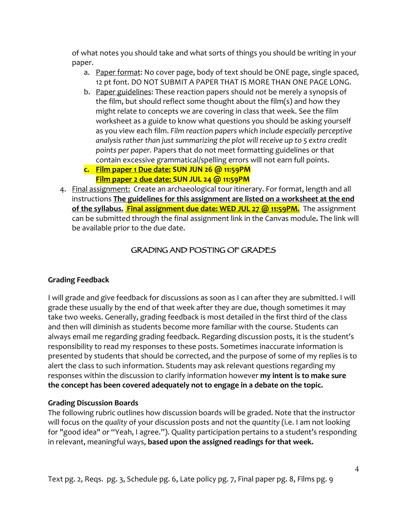of what notes you should take and what sorts of things you should be writing in your paper.

- a. Paper format: No cover page, body of text should be ONE page, single spaced, 12 pt font. DO NOT SUBMIT A PAPER THAT IS MORE THAN ONE PAGE LONG.
- b. Paper guidelines: These reaction papers should *not* be merely a synopsis of the film, but should reflect some thought about the film(s) and how they might relate to concepts we are covering in class that week. See the film worksheet as a guide to know what questions you should be asking yourself as you view each film. *Film reaction papers which include especially perceptive analysis rather than just summarizing the plot will receive up to 5 extra credit points per paper.* Papers that do not meet formatting guidelines or that contain excessive grammatical/spelling errors will not earn full points.
- **c. Film paper 1 Due date: SUN JUN 26 @ 11:59PM Film paper 2 due date: SUN JUL 24 @ 11:59PM**
- 4. Final assignment: Create an archaeological tour itinerary. For format, length and all instructions **The guidelines for this assignment are listed on a worksheet at the end of the syllabus. Final assignment due date: WED JUL 27 @ 11:59PM.** The assignment can be submitted through the final assignment link in the Canvas module**.** The link will be available prior to the due date.

## GRADING AND POSTING OF GRADES

## **Grading Feedback**

I will grade and give feedback for discussions as soon as I can after they are submitted. I will grade these usually by the end of that week after they are due, though sometimes it may take two weeks. Generally, grading feedback is most detailed in the first third of the class and then will diminish as students become more familiar with the course. Students can always email me regarding grading feedback. Regarding discussion posts, it is the student's responsibility to read my responses to these posts. Sometimes inaccurate information is presented by students that should be corrected, and the purpose of some of my replies is to alert the class to such information. Students may ask relevant questions regarding my responses within the discussion to clarify information however **my intent is to make sure the concept has been covered adequately not to engage in a debate on the topic.**

### **Grading Discussion Boards**

The following rubric outlines how discussion boards will be graded. Note that the instructor will focus on the *quality* of your discussion posts and not the *quantity* (i.e. I am not looking for "good idea" or "Yeah, I agree."). Quality participation pertains to a student's responding in relevant, meaningful ways, **based upon the assigned readings for that week.**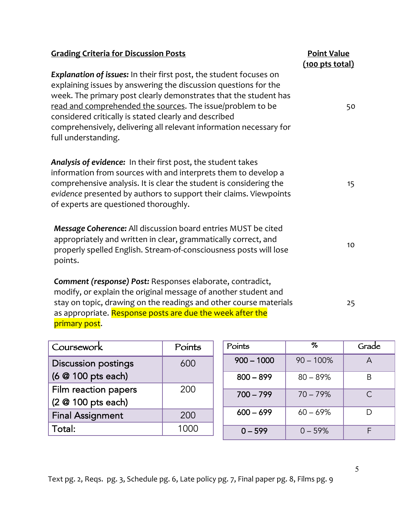| <b>Grading Criteria for Discussion Posts</b>                                                                                                                                                                                                                                                                                                                                                                                         | <b>Point Value</b><br>$(100$ pts total) |
|--------------------------------------------------------------------------------------------------------------------------------------------------------------------------------------------------------------------------------------------------------------------------------------------------------------------------------------------------------------------------------------------------------------------------------------|-----------------------------------------|
| <b>Explanation of issues:</b> In their first post, the student focuses on<br>explaining issues by answering the discussion questions for the<br>week. The primary post clearly demonstrates that the student has<br>read and comprehended the sources. The issue/problem to be<br>considered critically is stated clearly and described<br>comprehensively, delivering all relevant information necessary for<br>full understanding. | 50                                      |
| Analysis of evidence: In their first post, the student takes<br>information from sources with and interprets them to develop a<br>comprehensive analysis. It is clear the student is considering the<br>evidence presented by authors to support their claims. Viewpoints<br>of experts are questioned thoroughly.                                                                                                                   | 15                                      |
| Message Coherence: All discussion board entries MUST be cited<br>appropriately and written in clear, grammatically correct, and<br>properly spelled English. Stream-of-consciousness posts will lose<br>points.                                                                                                                                                                                                                      | 10                                      |
| Comment (response) Post: Responses elaborate, contradict,<br>modify, or explain the original message of another student and<br>stay on topic, drawing on the readings and other course materials<br>as appropriate. Response posts are due the week after the<br>primary post.                                                                                                                                                       | 25                                      |

| Coursework                                       | Points |
|--------------------------------------------------|--------|
| <b>Discussion postings</b><br>(6 @ 100 pts each) | 600    |
| Film reaction papers<br>(2 @ 100 pts each)       | 200    |
| <b>Final Assignment</b>                          | 200    |
| Total:                                           |        |

| Points       | %            | Grade     |
|--------------|--------------|-----------|
| $900 - 1000$ | $90 - 100\%$ | A         |
| $800 - 899$  | $80 - 89%$   | R         |
| $700 - 799$  | $70 - 79%$   | $\subset$ |
| $600 - 699$  | $60 - 69%$   |           |
| $0 - 599$    | $0 - 59%$    |           |

Text pg. 2, Reqs. pg. 3, Schedule pg. 6, Late policy pg. 7, Final paper pg. 8, Films pg. 9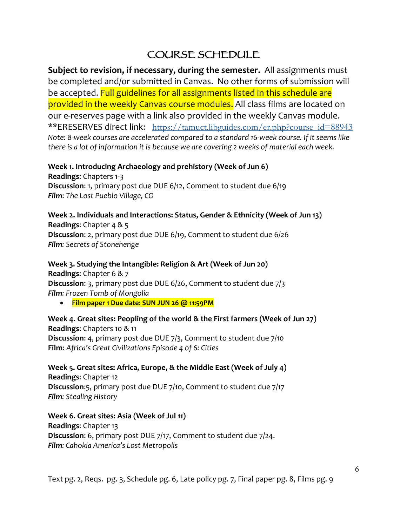# COURSE SCHEDULE

**Subject to revision, if necessary, during the semester.** All assignments must be completed and/or submitted in Canvas. No other forms of submission will be accepted. Full guidelines for all assignments listed in this schedule are provided in the weekly Canvas course modules. All class films are located on our e-reserves page with a link also provided in the weekly Canvas module. \*\*ERESERVES direct link: https://tamuct.libguides.com/er.php?course\_id=88943 *Note: 8-week courses are accelerated compared to a standard 16-week course. If it seems like there is a lot of information it is because we are covering 2 weeks of material each week.*

**Week 1. Introducing Archaeology and prehistory (Week of Jun 6) Readings**: Chapters 1-3 **Discussion**: 1, primary post due DUE 6/12, Comment to student due 6/19 *Film*: *The Lost Pueblo Village, CO*

**Week 2. Individuals and Interactions: Status, Gender & Ethnicity (Week of Jun 13) Readings**: Chapter 4 & 5 **Discussion**: 2, primary post due DUE 6/19, Comment to student due 6/26 *Film: Secrets of Stonehenge*

**Week 3. Studying the Intangible: Religion & Art (Week of Jun 20) Readings**: Chapter 6 & 7 **Discussion**: 3, primary post due DUE 6/26, Comment to student due 7/3 *Film: Frozen Tomb of Mongolia*

• **Film paper 1 Due date: SUN JUN 26 @ 11:59PM** 

**Week 4. Great sites: Peopling of the world & the First farmers (Week of Jun 27) Readings**: Chapters 10 & 11 **Discussion**: 4, primary post due DUE 7/3, Comment to student due 7/10 **Film**: *Africa's Great Civilizations Episode 4 of 6: Cities*

**Week 5. Great sites: Africa, Europe, & the Middle East (Week of July 4) Readings**: Chapter 12 **Discussion**:5, primary post due DUE 7/10, Comment to student due 7/17 *Film: Stealing History*

**Week 6. Great sites: Asia (Week of Jul 11) Readings**: Chapter 13 **Discussion**: 6, primary post DUE 7/17, Comment to student due 7/24. *Film: Cahokia America's Lost Metropolis*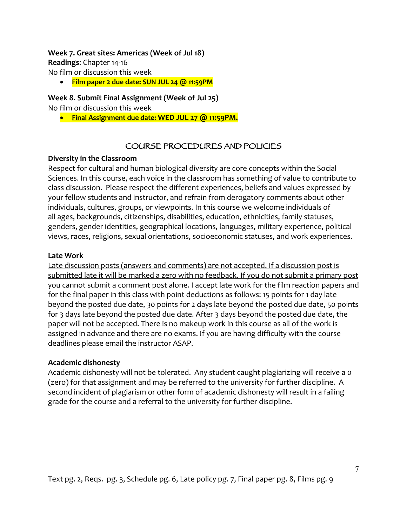#### **Week 7. Great sites: Americas (Week of Jul 18)**

**Readings**: Chapter 14-16

No film or discussion this week

• **Film paper 2 due date: SUN JUL 24 @ 11:59PM**

### **Week 8. Submit Final Assignment (Week of Jul 25)**

No film or discussion this week

• **Final Assignment due date: WED JUL 27 @ 11:59PM.**

## COURSE PROCEDURES AND POLICIES

### **Diversity in the Classroom**

Respect for cultural and human biological diversity are core concepts within the Social Sciences. In this course, each voice in the classroom has something of value to contribute to class discussion. Please respect the different experiences, beliefs and values expressed by your fellow students and instructor, and refrain from derogatory comments about other individuals, cultures, groups, or viewpoints. In this course we welcome individuals of all ages, backgrounds, citizenships, disabilities, education, ethnicities, family statuses, genders, gender identities, geographical locations, languages, military experience, political views, races, religions, sexual orientations, socioeconomic statuses, and work experiences.

### **Late Work**

Late discussion posts (answers and comments) are not accepted. If a discussion post is submitted late it will be marked a zero with no feedback. If you do not submit a primary post you cannot submit a comment post alone. I accept late work for the film reaction papers and for the final paper in this class with point deductions as follows: 15 points for 1 day late beyond the posted due date, 30 points for 2 days late beyond the posted due date, 50 points for 3 days late beyond the posted due date. After 3 days beyond the posted due date, the paper will not be accepted. There is no makeup work in this course as all of the work is assigned in advance and there are no exams. If you are having difficulty with the course deadlines please email the instructor ASAP.

### **Academic dishonesty**

Academic dishonesty will not be tolerated. Any student caught plagiarizing will receive a 0 (zero) for that assignment and may be referred to the university for further discipline. A second incident of plagiarism or other form of academic dishonesty will result in a failing grade for the course and a referral to the university for further discipline.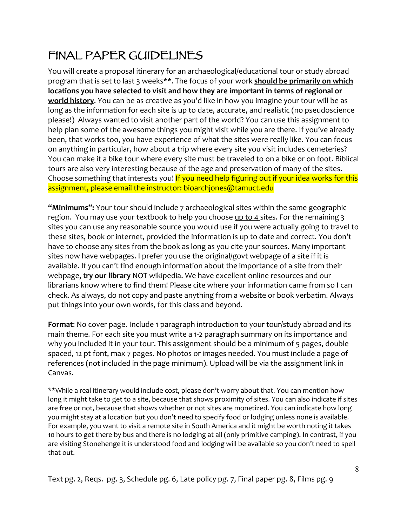# FINAL PAPER GUIDELINES

You will create a proposal itinerary for an archaeological/educational tour or study abroad program that is set to last 3 weeks\*\*. The focus of your work **should be primarily on which locations you have selected to visit and how they are important in terms of regional or world history**. You can be as creative as you'd like in how you imagine your tour will be as long as the information for each site is up to date, accurate, and realistic (no pseudoscience please!) Always wanted to visit another part of the world? You can use this assignment to help plan some of the awesome things you might visit while you are there. If you've already been, that works too, you have experience of what the sites were really like. You can focus on anything in particular, how about a trip where every site you visit includes cemeteries? You can make it a bike tour where every site must be traveled to on a bike or on foot. Biblical tours are also very interesting because of the age and preservation of many of the sites. Choose something that interests you! If you need help figuring out if your idea works for this assignment, please email the instructor: bioarchjones@tamuct.edu

**"Minimums":** Your tour should include 7 archaeological sites within the same geographic region. You may use your textbook to help you choose up to  $4$  sites. For the remaining  $3$ sites you can use any reasonable source you would use if you were actually going to travel to these sites, book or internet, provided the information is up to date and correct. You don't have to choose any sites from the book as long as you cite your sources. Many important sites now have webpages. I prefer you use the original/govt webpage of a site if it is available. If you can't find enough information about the importance of a site from their webpage**, try our library** NOT wikipedia. We have excellent online resources and our librarians know where to find them! Please cite where your information came from so I can check. As always, do not copy and paste anything from a website or book verbatim. Always put things into your own words, for this class and beyond.

**Format**: No cover page. Include 1 paragraph introduction to your tour/study abroad and its main theme. For each site you must write a 1-2 paragraph summary on its importance and why you included it in your tour. This assignment should be a minimum of 5 pages, double spaced, 12 pt font, max 7 pages. No photos or images needed. You must include a page of references (not included in the page minimum). Upload will be via the assignment link in Canvas.

\*\*While a real itinerary would include cost, please don't worry about that. You can mention how long it might take to get to a site, because that shows proximity of sites. You can also indicate if sites are free or not, because that shows whether or not sites are monetized. You can indicate how long you might stay at a location but you don't need to specify food or lodging unless none is available. For example, you want to visit a remote site in South America and it might be worth noting it takes 10 hours to get there by bus and there is no lodging at all (only primitive camping). In contrast, if you are visiting Stonehenge it is understood food and lodging will be available so you don't need to spell that out.

Text pg. 2, Reqs. pg. 3, Schedule pg. 6, Late policy pg. 7, Final paper pg. 8, Films pg. 9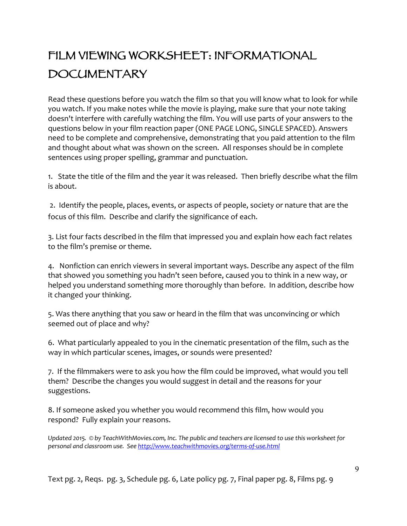# FILM VIEWING WORKSHEET: INFORMATIONAL DOCUMENTARY

Read these questions before you watch the film so that you will know what to look for while you watch. If you make notes while the movie is playing, make sure that your note taking doesn't interfere with carefully watching the film. You will use parts of your answers to the questions below in your film reaction paper (ONE PAGE LONG, SINGLE SPACED). Answers need to be complete and comprehensive, demonstrating that you paid attention to the film and thought about what was shown on the screen. All responses should be in complete sentences using proper spelling, grammar and punctuation.

1. State the title of the film and the year it was released. Then briefly describe what the film is about.

2. Identify the people, places, events, or aspects of people, society or nature that are the focus of this film. Describe and clarify the significance of each.

3. List four facts described in the film that impressed you and explain how each fact relates to the film's premise or theme.

4. Nonfiction can enrich viewers in several important ways. Describe any aspect of the film that showed you something you hadn't seen before, caused you to think in a new way, or helped you understand something more thoroughly than before. In addition, describe how it changed your thinking.

5. Was there anything that you saw or heard in the film that was unconvincing or which seemed out of place and why?

6. What particularly appealed to you in the cinematic presentation of the film, such as the way in which particular scenes, images, or sounds were presented?

7. If the filmmakers were to ask you how the film could be improved, what would you tell them? Describe the changes you would suggest in detail and the reasons for your suggestions.

8. If someone asked you whether you would recommend this film, how would you respond? Fully explain your reasons.

*Updated 2015. © by TeachWithMovies.com, Inc. The public and teachers are licensed to use this worksheet for personal and classroom use. See http://www.teachwithmovies.org/terms-of-use.html*

Text pg. 2, Reqs. pg. 3, Schedule pg. 6, Late policy pg. 7, Final paper pg. 8, Films pg. 9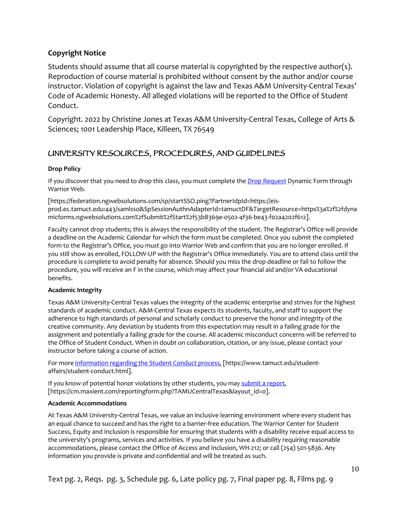#### **Copyright Notice**

Students should assume that all course material is copyrighted by the respective author(s). Reproduction of course material is prohibited without consent by the author and/or course instructor. Violation of copyright is against the law and Texas A&M University-Central Texas' Code of Academic Honesty. All alleged violations will be reported to the Office of Student Conduct.

Copyright. 2022 by Christine Jones at Texas A&M University-Central Texas, College of Arts & Sciences; 1001 Leadership Place, Killeen, TX 76549

## UNIVERSITY RESOURCES, PROCEDURES, AND GUIDELINES

#### **Drop Policy**

If you discover that you need to drop this class, you must complete the Drop Request Dynamic Form through Warrior Web.

[https://federation.ngwebsolutions.com/sp/startSSO.ping?PartnerIdpId=https://eisprod.ec.tamuct.edu:443/samlsso&SpSessionAuthnAdapterId=tamuctDF&TargetResource=https%3a%2f%2fdyna micforms.ngwebsolutions.com%2fSubmit%2fStart%2f53b8369e-0502-4f36-be43-f02a4202f612].

Faculty cannot drop students; this is always the responsibility of the student. The Registrar's Office will provide a deadline on the Academic Calendar for which the form must be completed. Once you submit the completed form to the Registrar's Office, you must go into Warrior Web and confirm that you are no longer enrolled. If you still show as enrolled, FOLLOW-UP with the Registrar's Office immediately. You are to attend class until the procedure is complete to avoid penalty for absence. Should you miss the drop deadline or fail to follow the procedure, you will receive an F in the course, which may affect your financial aid and/or VA educational benefits.

#### **Academic Integrity**

Texas A&M University-Central Texas values the integrity of the academic enterprise and strives for the highest standards of academic conduct. A&M-Central Texas expects its students, faculty, and staff to support the adherence to high standards of personal and scholarly conduct to preserve the honor and integrity of the creative community. Any deviation by students from this expectation may result in a failing grade for the assignment and potentially a failing grade for the course. All academic misconduct concerns will be referred to the Office of Student Conduct. When in doubt on collaboration, citation, or any issue, please contact your instructor before taking a course of action.

For more information regarding the Student Conduct process, [https://www.tamuct.edu/studentaffairs/student-conduct.html].

If you know of potential honor violations by other students, you may submit a report, [https://cm.maxient.com/reportingform.php?TAMUCentralTexas&layout\_id=0].

#### **Academic Accommodations**

At Texas A&M University-Central Texas, we value an inclusive learning environment where every student has an equal chance to succeed and has the right to a barrier-free education. The Warrior Center for Student Success, Equity and Inclusion is responsible for ensuring that students with a disability receive equal access to the university's programs, services and activities. If you believe you have a disability requiring reasonable accommodations, please contact the Office of Access and Inclusion, WH-212; or call (254) 501-5836. Any information you provide is private and confidential and will be treated as such.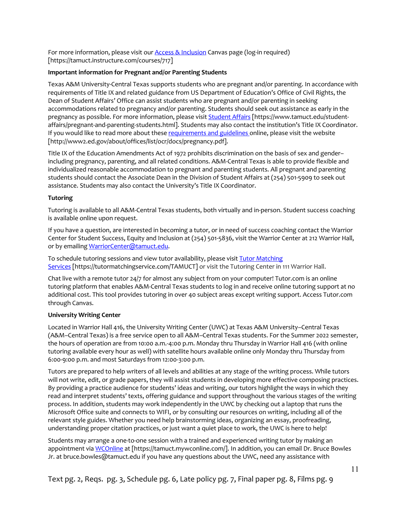For more information, please visit our Access & Inclusion Canvas page (log-in required) [https://tamuct.instructure.com/courses/717]

#### **Important information for Pregnant and/or Parenting Students**

Texas A&M University-Central Texas supports students who are pregnant and/or parenting. In accordance with requirements of Title IX and related guidance from US Department of Education's Office of Civil Rights, the Dean of Student Affairs' Office can assist students who are pregnant and/or parenting in seeking accommodations related to pregnancy and/or parenting. Students should seek out assistance as early in the pregnancy as possible. For more information, please visit **Student Affairs** [https://www.tamuct.edu/studentaffairs/pregnant-and-parenting-students.html]. Students may also contact the institution's Title IX Coordinator. If you would like to read more about these requirements and guidelines online, please visit the website [http://www2.ed.gov/about/offices/list/ocr/docs/pregnancy.pdf].

Title IX of the Education Amendments Act of 1972 prohibits discrimination on the basis of sex and gender– including pregnancy, parenting, and all related conditions. A&M-Central Texas is able to provide flexible and individualized reasonable accommodation to pregnant and parenting students. All pregnant and parenting students should contact the Associate Dean in the Division of Student Affairs at (254) 501-5909 to seek out assistance. Students may also contact the University's Title IX Coordinator.

#### **Tutoring**

Tutoring is available to all A&M-Central Texas students, both virtually and in-person. Student success coaching is available online upon request.

If you have a question, are interested in becoming a tutor, or in need of success coaching contact the Warrior Center for Student Success, Equity and Inclusion at (254) 501-5836, visit the Warrior Center at 212 Warrior Hall, or by emailing WarriorCenter@tamuct.edu.

To schedule tutoring sessions and view tutor availability, please visit Tutor Matching Services [https://tutormatchingservice.com/TAMUCT] or visit the Tutoring Center in 111 Warrior Hall.

Chat live with a remote tutor 24/7 for almost any subject from on your computer! Tutor.com is an online tutoring platform that enables A&M-Central Texas students to log in and receive online tutoring support at no additional cost. This tool provides tutoring in over 40 subject areas except writing support. Access Tutor.com through Canvas.

#### **University Writing Center**

Located in Warrior Hall 416, the University Writing Center (UWC) at Texas A&M University–Central Texas (A&M–Central Texas) is a free service open to all A&M–Central Texas students. For the Summer 2022 semester, the hours of operation are from 10:00 a.m.-4:00 p.m. Monday thru Thursday in Warrior Hall 416 (with online tutoring available every hour as well) with satellite hours available online only Monday thru Thursday from 6:00-9:00 p.m. and most Saturdays from 12:00-3:00 p.m.

Tutors are prepared to help writers of all levels and abilities at any stage of the writing process. While tutors will not write, edit, or grade papers, they will assist students in developing more effective composing practices. By providing a practice audience for students' ideas and writing, our tutors highlight the ways in which they read and interpret students' texts, offering guidance and support throughout the various stages of the writing process. In addition, students may work independently in the UWC by checking out a laptop that runs the Microsoft Office suite and connects to WIFI, or by consulting our resources on writing, including all of the relevant style guides. Whether you need help brainstorming ideas, organizing an essay, proofreading, understanding proper citation practices, or just want a quiet place to work, the UWC is here to help!

Students may arrange a one-to-one session with a trained and experienced writing tutor by making an appointment via WCOnline at [https://tamuct.mywconline.com/]. In addition, you can email Dr. Bruce Bowles Jr. at bruce.bowles@tamuct.edu if you have any questions about the UWC, need any assistance with